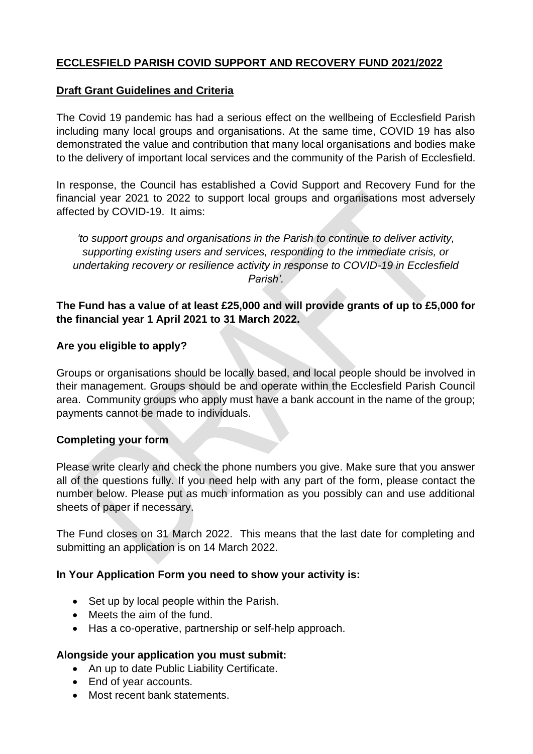## **ECCLESFIELD PARISH COVID SUPPORT AND RECOVERY FUND 2021/2022**

#### **Draft Grant Guidelines and Criteria**

The Covid 19 pandemic has had a serious effect on the wellbeing of Ecclesfield Parish including many local groups and organisations. At the same time, COVID 19 has also demonstrated the value and contribution that many local organisations and bodies make to the delivery of important local services and the community of the Parish of Ecclesfield.

In response, the Council has established a Covid Support and Recovery Fund for the financial year 2021 to 2022 to support local groups and organisations most adversely affected by COVID-19. It aims:

*'to support groups and organisations in the Parish to continue to deliver activity, supporting existing users and services, responding to the immediate crisis, or undertaking recovery or resilience activity in response to COVID-19 in Ecclesfield Parish'.*

### **The Fund has a value of at least £25,000 and will provide grants of up to £5,000 for the financial year 1 April 2021 to 31 March 2022.**

#### **Are you eligible to apply?**

Groups or organisations should be locally based, and local people should be involved in their management. Groups should be and operate within the Ecclesfield Parish Council area. Community groups who apply must have a bank account in the name of the group; payments cannot be made to individuals.

#### **Completing your form**

Please write clearly and check the phone numbers you give. Make sure that you answer all of the questions fully. If you need help with any part of the form, please contact the number below. Please put as much information as you possibly can and use additional sheets of paper if necessary.

The Fund closes on 31 March 2022. This means that the last date for completing and submitting an application is on 14 March 2022.

#### **In Your Application Form you need to show your activity is:**

- Set up by local people within the Parish.
- Meets the aim of the fund.
- Has a co-operative, partnership or self-help approach.

#### **Alongside your application you must submit:**

- An up to date Public Liability Certificate.
- End of year accounts.
- Most recent bank statements.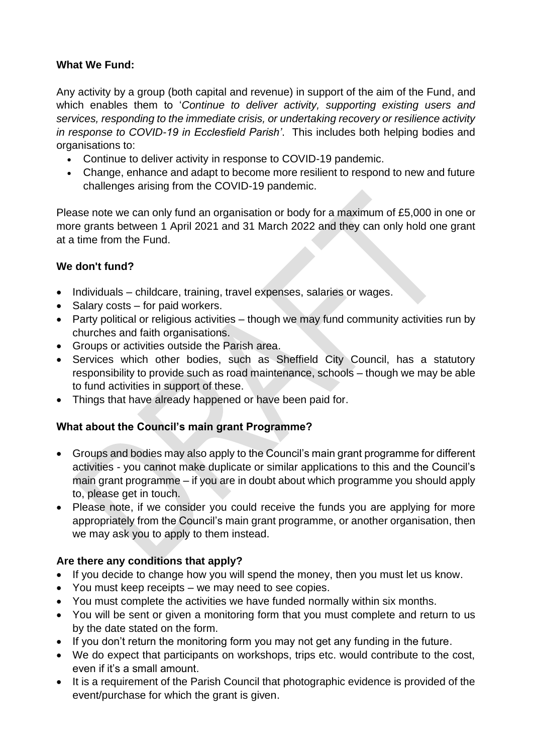## **What We Fund:**

Any activity by a group (both capital and revenue) in support of the aim of the Fund, and which enables them to '*Continue to deliver activity, supporting existing users and services, responding to the immediate crisis, or undertaking recovery or resilience activity in response to COVID-19 in Ecclesfield Parish'*. This includes both helping bodies and organisations to:

- Continue to deliver activity in response to COVID-19 pandemic.
- Change, enhance and adapt to become more resilient to respond to new and future challenges arising from the COVID-19 pandemic.

Please note we can only fund an organisation or body for a maximum of £5,000 in one or more grants between 1 April 2021 and 31 March 2022 and they can only hold one grant at a time from the Fund.

## **We don't fund?**

- Individuals childcare, training, travel expenses, salaries or wages.
- Salary costs for paid workers.
- Party political or religious activities though we may fund community activities run by churches and faith organisations.
- Groups or activities outside the Parish area.
- Services which other bodies, such as Sheffield City Council, has a statutory responsibility to provide such as road maintenance, schools – though we may be able to fund activities in support of these.
- Things that have already happened or have been paid for.

# **What about the Council's main grant Programme?**

- Groups and bodies may also apply to the Council's main grant programme for different activities - you cannot make duplicate or similar applications to this and the Council's main grant programme – if you are in doubt about which programme you should apply to, please get in touch.
- Please note, if we consider you could receive the funds you are applying for more appropriately from the Council's main grant programme, or another organisation, then we may ask you to apply to them instead.

### **Are there any conditions that apply?**

- If you decide to change how you will spend the money, then you must let us know.
- You must keep receipts we may need to see copies.
- You must complete the activities we have funded normally within six months.
- You will be sent or given a monitoring form that you must complete and return to us by the date stated on the form.
- If you don't return the monitoring form you may not get any funding in the future.
- We do expect that participants on workshops, trips etc. would contribute to the cost, even if it's a small amount.
- It is a requirement of the Parish Council that photographic evidence is provided of the event/purchase for which the grant is given.